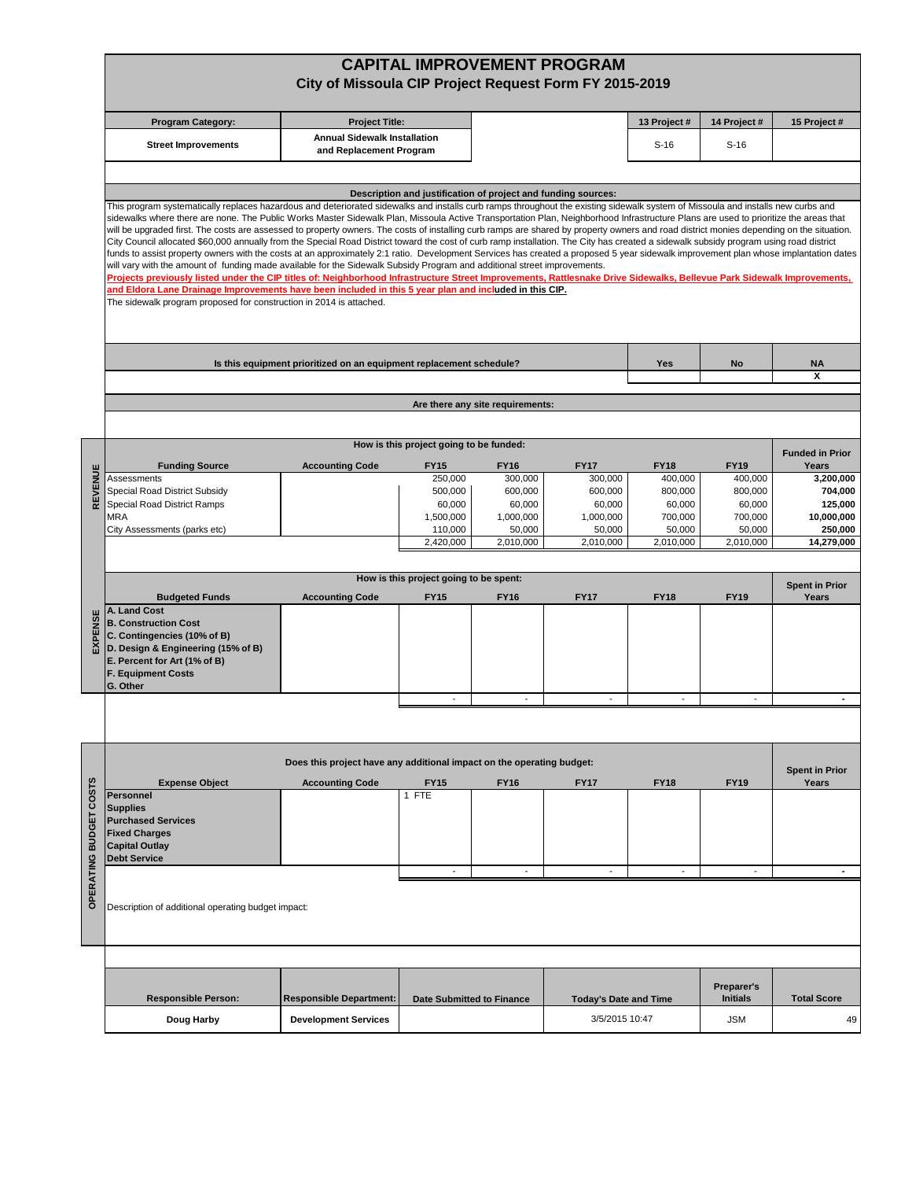|                        |                                                                                                                                                                                                                                                                                                                                                                                                                                                                                                                                                                                                                                                                                                                                                                                                                                                                                                                                                                                                                                                                                                                                                                                                                                                                                                                                                                      | City of Missoula CIP Project Request Form FY 2015-2019                |                                         |                          | <b>CAPITAL IMPROVEMENT PROGRAM</b>                            |                        |                               |                                |  |  |  |  |
|------------------------|----------------------------------------------------------------------------------------------------------------------------------------------------------------------------------------------------------------------------------------------------------------------------------------------------------------------------------------------------------------------------------------------------------------------------------------------------------------------------------------------------------------------------------------------------------------------------------------------------------------------------------------------------------------------------------------------------------------------------------------------------------------------------------------------------------------------------------------------------------------------------------------------------------------------------------------------------------------------------------------------------------------------------------------------------------------------------------------------------------------------------------------------------------------------------------------------------------------------------------------------------------------------------------------------------------------------------------------------------------------------|-----------------------------------------------------------------------|-----------------------------------------|--------------------------|---------------------------------------------------------------|------------------------|-------------------------------|--------------------------------|--|--|--|--|
|                        | <b>Program Category:</b>                                                                                                                                                                                                                                                                                                                                                                                                                                                                                                                                                                                                                                                                                                                                                                                                                                                                                                                                                                                                                                                                                                                                                                                                                                                                                                                                             | <b>Project Title:</b>                                                 |                                         |                          |                                                               | 13 Project #           | 14 Project #                  | 15 Project #                   |  |  |  |  |
|                        | <b>Street Improvements</b>                                                                                                                                                                                                                                                                                                                                                                                                                                                                                                                                                                                                                                                                                                                                                                                                                                                                                                                                                                                                                                                                                                                                                                                                                                                                                                                                           | <b>Annual Sidewalk Installation</b><br>and Replacement Program        |                                         |                          |                                                               | $S-16$                 | $S-16$                        |                                |  |  |  |  |
|                        | This program systematically replaces hazardous and deteriorated sidewalks and installs curb ramps throughout the existing sidewalk system of Missoula and installs new curbs and<br>sidewalks where there are none. The Public Works Master Sidewalk Plan, Missoula Active Transportation Plan, Neighborhood Infrastructure Plans are used to prioritize the areas that<br>will be upgraded first. The costs are assessed to property owners. The costs of installing curb ramps are shared by property owners and road district monies depending on the situation.<br>City Council allocated \$60,000 annually from the Special Road District toward the cost of curb ramp installation. The City has created a sidewalk subsidy program using road district<br>funds to assist property owners with the costs at an approximately 2:1 ratio. Development Services has created a proposed 5 year sidewalk improvement plan whose implantation dates<br>will vary with the amount of funding made available for the Sidewalk Subsidy Program and additional street improvements.<br>Projects previously listed under the CIP titles of: Neighborhood Infrastructure Street Improvements, Rattlesnake Drive Sidewalks, Bellevue Park Sidewalk Improvements,<br>and Eldora Lane Drainage Improvements have been included in this 5 year plan and included in this CIP. |                                                                       |                                         |                          | Description and justification of project and funding sources: |                        |                               |                                |  |  |  |  |
|                        | The sidewalk program proposed for construction in 2014 is attached.<br>Is this equipment prioritized on an equipment replacement schedule?<br>No<br>Yes                                                                                                                                                                                                                                                                                                                                                                                                                                                                                                                                                                                                                                                                                                                                                                                                                                                                                                                                                                                                                                                                                                                                                                                                              |                                                                       |                                         |                          |                                                               |                        |                               |                                |  |  |  |  |
|                        |                                                                                                                                                                                                                                                                                                                                                                                                                                                                                                                                                                                                                                                                                                                                                                                                                                                                                                                                                                                                                                                                                                                                                                                                                                                                                                                                                                      |                                                                       |                                         |                          |                                                               |                        |                               | <b>NA</b><br>X                 |  |  |  |  |
|                        | Are there any site requirements:                                                                                                                                                                                                                                                                                                                                                                                                                                                                                                                                                                                                                                                                                                                                                                                                                                                                                                                                                                                                                                                                                                                                                                                                                                                                                                                                     |                                                                       |                                         |                          |                                                               |                        |                               |                                |  |  |  |  |
|                        |                                                                                                                                                                                                                                                                                                                                                                                                                                                                                                                                                                                                                                                                                                                                                                                                                                                                                                                                                                                                                                                                                                                                                                                                                                                                                                                                                                      |                                                                       |                                         |                          |                                                               |                        |                               |                                |  |  |  |  |
|                        |                                                                                                                                                                                                                                                                                                                                                                                                                                                                                                                                                                                                                                                                                                                                                                                                                                                                                                                                                                                                                                                                                                                                                                                                                                                                                                                                                                      |                                                                       | How is this project going to be funded: |                          |                                                               |                        |                               | <b>Funded in Prior</b>         |  |  |  |  |
|                        | <b>Funding Source</b><br>Assessments                                                                                                                                                                                                                                                                                                                                                                                                                                                                                                                                                                                                                                                                                                                                                                                                                                                                                                                                                                                                                                                                                                                                                                                                                                                                                                                                 | <b>Accounting Code</b>                                                | <b>FY15</b><br>250,000                  | <b>FY16</b><br>300,000   | <b>FY17</b><br>300,000                                        | <b>FY18</b><br>400,000 | <b>FY19</b><br>400,000        | Years<br>3,200,000             |  |  |  |  |
| REVENUE                | Special Road District Subsidy                                                                                                                                                                                                                                                                                                                                                                                                                                                                                                                                                                                                                                                                                                                                                                                                                                                                                                                                                                                                                                                                                                                                                                                                                                                                                                                                        |                                                                       | 500,000                                 | 600,000                  | 600,000                                                       | 800,000                | 800,000                       | 704,000                        |  |  |  |  |
|                        | Special Road District Ramps<br><b>MRA</b>                                                                                                                                                                                                                                                                                                                                                                                                                                                                                                                                                                                                                                                                                                                                                                                                                                                                                                                                                                                                                                                                                                                                                                                                                                                                                                                            |                                                                       | 60,000<br>1,500,000                     | 60,000<br>1,000,000      | 60,000<br>1,000,000                                           | 60,000<br>700,000      | 60,000<br>700,000             | 125,000<br>10,000,000          |  |  |  |  |
|                        | City Assessments (parks etc)                                                                                                                                                                                                                                                                                                                                                                                                                                                                                                                                                                                                                                                                                                                                                                                                                                                                                                                                                                                                                                                                                                                                                                                                                                                                                                                                         |                                                                       | 110,000<br>2,420,000                    | 50,000<br>2,010,000      | 50,000<br>2,010,000                                           | 50,000<br>2,010,000    | 50,000<br>2,010,000           | 250,000<br>14,279,000          |  |  |  |  |
|                        |                                                                                                                                                                                                                                                                                                                                                                                                                                                                                                                                                                                                                                                                                                                                                                                                                                                                                                                                                                                                                                                                                                                                                                                                                                                                                                                                                                      |                                                                       |                                         |                          |                                                               |                        |                               |                                |  |  |  |  |
|                        | How is this project going to be spent:<br><b>Spent in Prior</b>                                                                                                                                                                                                                                                                                                                                                                                                                                                                                                                                                                                                                                                                                                                                                                                                                                                                                                                                                                                                                                                                                                                                                                                                                                                                                                      |                                                                       |                                         |                          |                                                               |                        |                               |                                |  |  |  |  |
| EXPENSE                | <b>Budgeted Funds</b><br>A. Land Cost<br><b>B. Construction Cost</b><br>C. Contingencies (10% of B)<br>D. Design & Engineering (15% of B)<br>E. Percent for Art (1% of B)<br><b>F. Equipment Costs</b><br>G. Other                                                                                                                                                                                                                                                                                                                                                                                                                                                                                                                                                                                                                                                                                                                                                                                                                                                                                                                                                                                                                                                                                                                                                   | <b>Accounting Code</b>                                                | <b>FY15</b>                             | <b>FY16</b>              | <b>FY17</b>                                                   | <b>FY18</b>            | <b>FY19</b>                   | Years                          |  |  |  |  |
|                        |                                                                                                                                                                                                                                                                                                                                                                                                                                                                                                                                                                                                                                                                                                                                                                                                                                                                                                                                                                                                                                                                                                                                                                                                                                                                                                                                                                      |                                                                       | $\overline{\phantom{a}}$                | $\overline{\phantom{a}}$ |                                                               | ÷,                     |                               |                                |  |  |  |  |
|                        |                                                                                                                                                                                                                                                                                                                                                                                                                                                                                                                                                                                                                                                                                                                                                                                                                                                                                                                                                                                                                                                                                                                                                                                                                                                                                                                                                                      |                                                                       |                                         |                          |                                                               |                        |                               |                                |  |  |  |  |
|                        |                                                                                                                                                                                                                                                                                                                                                                                                                                                                                                                                                                                                                                                                                                                                                                                                                                                                                                                                                                                                                                                                                                                                                                                                                                                                                                                                                                      | Does this project have any additional impact on the operating budget: |                                         |                          |                                                               |                        |                               |                                |  |  |  |  |
|                        | <b>Expense Object</b>                                                                                                                                                                                                                                                                                                                                                                                                                                                                                                                                                                                                                                                                                                                                                                                                                                                                                                                                                                                                                                                                                                                                                                                                                                                                                                                                                | <b>Accounting Code</b>                                                | <b>FY15</b>                             | <b>FY16</b>              | <b>FY17</b>                                                   | <b>FY18</b>            | <b>FY19</b>                   | <b>Spent in Prior</b><br>Years |  |  |  |  |
| OPERATING BUDGET COSTS | Personnel<br><b>Supplies</b><br><b>Purchased Services</b><br><b>Fixed Charges</b><br><b>Capital Outlay</b><br><b>Debt Service</b>                                                                                                                                                                                                                                                                                                                                                                                                                                                                                                                                                                                                                                                                                                                                                                                                                                                                                                                                                                                                                                                                                                                                                                                                                                    |                                                                       | 1 FTE                                   |                          |                                                               |                        |                               |                                |  |  |  |  |
|                        | $\overline{\phantom{a}}$<br>$\overline{\phantom{a}}$<br>$\blacksquare$<br>$\overline{\phantom{a}}$                                                                                                                                                                                                                                                                                                                                                                                                                                                                                                                                                                                                                                                                                                                                                                                                                                                                                                                                                                                                                                                                                                                                                                                                                                                                   |                                                                       |                                         |                          |                                                               |                        |                               |                                |  |  |  |  |
|                        | Description of additional operating budget impact:                                                                                                                                                                                                                                                                                                                                                                                                                                                                                                                                                                                                                                                                                                                                                                                                                                                                                                                                                                                                                                                                                                                                                                                                                                                                                                                   |                                                                       |                                         |                          |                                                               |                        |                               |                                |  |  |  |  |
|                        |                                                                                                                                                                                                                                                                                                                                                                                                                                                                                                                                                                                                                                                                                                                                                                                                                                                                                                                                                                                                                                                                                                                                                                                                                                                                                                                                                                      |                                                                       |                                         |                          |                                                               |                        |                               |                                |  |  |  |  |
|                        | <b>Responsible Person:</b>                                                                                                                                                                                                                                                                                                                                                                                                                                                                                                                                                                                                                                                                                                                                                                                                                                                                                                                                                                                                                                                                                                                                                                                                                                                                                                                                           | <b>Responsible Department:</b>                                        | <b>Date Submitted to Finance</b>        |                          | <b>Today's Date and Time</b>                                  |                        | Preparer's<br><b>Initials</b> | <b>Total Score</b>             |  |  |  |  |
|                        | Doug Harby                                                                                                                                                                                                                                                                                                                                                                                                                                                                                                                                                                                                                                                                                                                                                                                                                                                                                                                                                                                                                                                                                                                                                                                                                                                                                                                                                           | <b>Development Services</b>                                           |                                         |                          | 3/5/2015 10:47                                                |                        | JSM                           |                                |  |  |  |  |
|                        |                                                                                                                                                                                                                                                                                                                                                                                                                                                                                                                                                                                                                                                                                                                                                                                                                                                                                                                                                                                                                                                                                                                                                                                                                                                                                                                                                                      |                                                                       |                                         |                          |                                                               |                        |                               |                                |  |  |  |  |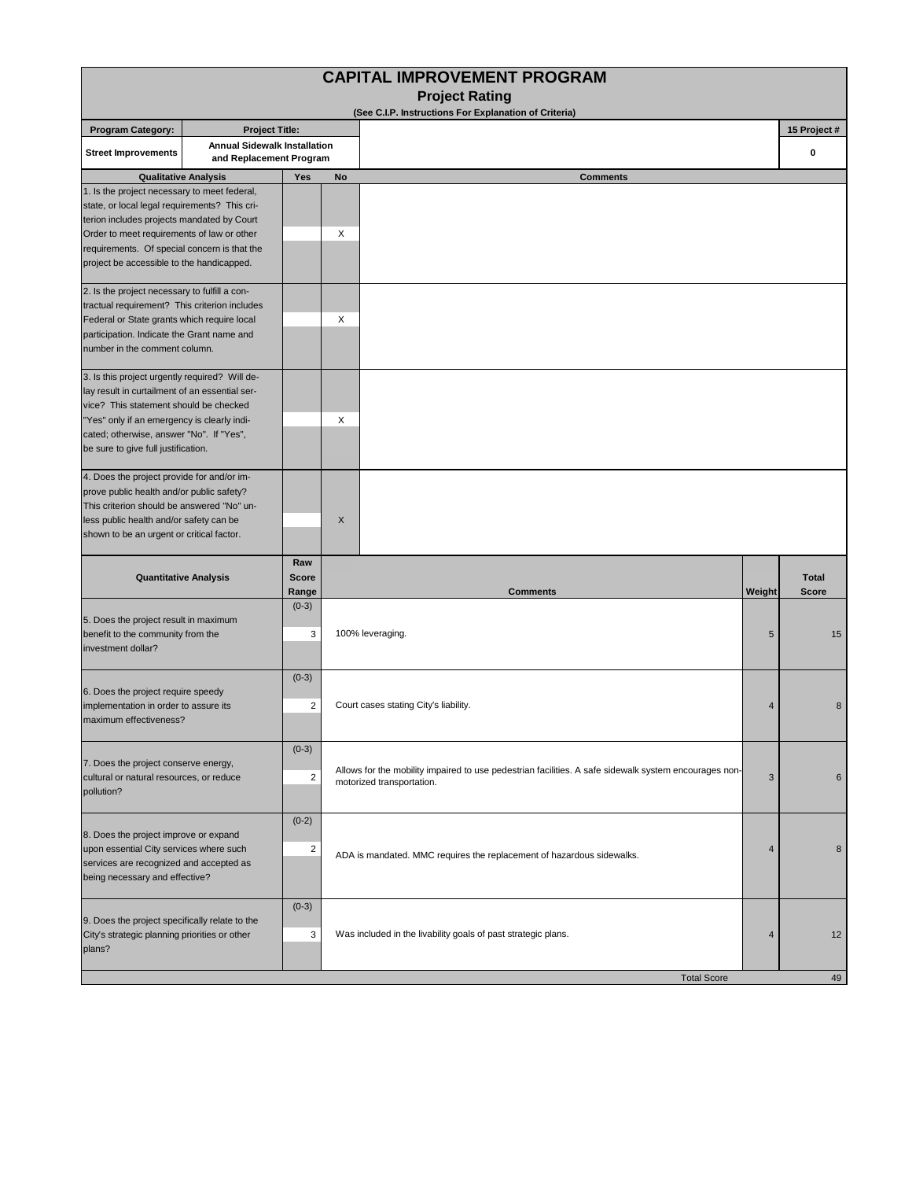| <b>CAPITAL IMPROVEMENT PROGRAM</b><br><b>Project Rating</b>                                                                                                                                                                                                                            |                                                                |                                    |                                                                                                                                    |                 |                              |  |  |  |  |  |  |  |  |
|----------------------------------------------------------------------------------------------------------------------------------------------------------------------------------------------------------------------------------------------------------------------------------------|----------------------------------------------------------------|------------------------------------|------------------------------------------------------------------------------------------------------------------------------------|-----------------|------------------------------|--|--|--|--|--|--|--|--|
| (See C.I.P. Instructions For Explanation of Criteria)                                                                                                                                                                                                                                  |                                                                |                                    |                                                                                                                                    |                 |                              |  |  |  |  |  |  |  |  |
| <b>Program Category:</b>                                                                                                                                                                                                                                                               | <b>Project Title:</b>                                          |                                    |                                                                                                                                    |                 | 15 Project #                 |  |  |  |  |  |  |  |  |
| <b>Street Improvements</b>                                                                                                                                                                                                                                                             | <b>Annual Sidewalk Installation</b><br>and Replacement Program |                                    |                                                                                                                                    |                 | 0                            |  |  |  |  |  |  |  |  |
|                                                                                                                                                                                                                                                                                        | <b>Qualitative Analysis</b>                                    | Yes                                | No<br><b>Comments</b>                                                                                                              |                 |                              |  |  |  |  |  |  |  |  |
| 1. Is the project necessary to meet federal,<br>state, or local legal requirements? This cri-<br>terion includes projects mandated by Court<br>Order to meet requirements of law or other<br>requirements. Of special concern is that the<br>project be accessible to the handicapped. |                                                                |                                    | X                                                                                                                                  |                 |                              |  |  |  |  |  |  |  |  |
| 2. Is the project necessary to fulfill a con-<br>tractual requirement? This criterion includes<br>Federal or State grants which require local<br>participation. Indicate the Grant name and<br>number in the comment column.                                                           |                                                                |                                    | X                                                                                                                                  |                 |                              |  |  |  |  |  |  |  |  |
| 3. Is this project urgently required? Will de-<br>lay result in curtailment of an essential ser-<br>vice? This statement should be checked<br>"Yes" only if an emergency is clearly indi-<br>cated; otherwise, answer "No". If "Yes",<br>be sure to give full justification.           |                                                                |                                    | Χ                                                                                                                                  |                 |                              |  |  |  |  |  |  |  |  |
| 4. Does the project provide for and/or im-<br>prove public health and/or public safety?<br>This criterion should be answered "No" un-<br>less public health and/or safety can be<br>shown to be an urgent or critical factor.                                                          |                                                                |                                    | X                                                                                                                                  |                 |                              |  |  |  |  |  |  |  |  |
|                                                                                                                                                                                                                                                                                        | <b>Quantitative Analysis</b>                                   | Raw<br><b>Score</b><br>Range       | <b>Comments</b>                                                                                                                    | Weight          | <b>Total</b><br><b>Score</b> |  |  |  |  |  |  |  |  |
| 5. Does the project result in maximum<br>benefit to the community from the<br>investment dollar?                                                                                                                                                                                       |                                                                | $(0-3)$<br>3                       | 100% leveraging.                                                                                                                   | $5\phantom{.0}$ | 15                           |  |  |  |  |  |  |  |  |
| 6. Does the project require speedy<br>implementation in order to assure its<br>maximum effectiveness?                                                                                                                                                                                  |                                                                | $(0-3)$<br>$\overline{2}$          | Court cases stating City's liability.                                                                                              | $\overline{4}$  | 8                            |  |  |  |  |  |  |  |  |
| 7. Does the project conserve energy,<br>cultural or natural resources, or reduce<br>pollution?                                                                                                                                                                                         |                                                                | $(0-3)$<br>$\overline{\mathbf{c}}$ | Allows for the mobility impaired to use pedestrian facilities. A safe sidewalk system encourages non-<br>motorized transportation. | 3               | 6                            |  |  |  |  |  |  |  |  |
| 8. Does the project improve or expand<br>upon essential City services where such<br>services are recognized and accepted as<br>being necessary and effective?                                                                                                                          |                                                                | $(0-2)$<br>$\overline{\mathbf{c}}$ | ADA is mandated. MMC requires the replacement of hazardous sidewalks.                                                              | $\overline{4}$  | 8                            |  |  |  |  |  |  |  |  |
| 9. Does the project specifically relate to the<br>City's strategic planning priorities or other<br>plans?                                                                                                                                                                              |                                                                | $(0-3)$<br>3                       | Was included in the livability goals of past strategic plans.                                                                      | $\overline{4}$  | 12                           |  |  |  |  |  |  |  |  |
|                                                                                                                                                                                                                                                                                        |                                                                |                                    | <b>Total Score</b>                                                                                                                 |                 | 49                           |  |  |  |  |  |  |  |  |